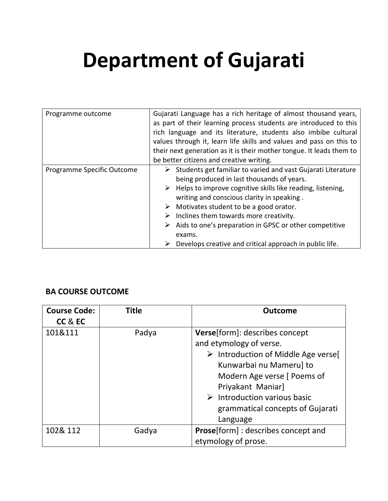## **Department of Gujarati**

| Programme outcome          | Gujarati Language has a rich heritage of almost thousand years,<br>as part of their learning process students are introduced to this<br>rich language and its literature, students also imbibe cultural<br>values through it, learn life skills and values and pass on this to<br>their next generation as it is their mother tongue. It leads them to                                                                                                                                                                                          |  |  |
|----------------------------|-------------------------------------------------------------------------------------------------------------------------------------------------------------------------------------------------------------------------------------------------------------------------------------------------------------------------------------------------------------------------------------------------------------------------------------------------------------------------------------------------------------------------------------------------|--|--|
|                            | be better citizens and creative writing.                                                                                                                                                                                                                                                                                                                                                                                                                                                                                                        |  |  |
| Programme Specific Outcome | $\triangleright$ Students get familiar to varied and vast Gujarati Literature<br>being produced in last thousands of years.<br>$\triangleright$ Helps to improve cognitive skills like reading, listening,<br>writing and conscious clarity in speaking.<br>$\triangleright$ Motivates student to be a good orator.<br>$\triangleright$ Inclines them towards more creativity.<br>$\triangleright$ Aids to one's preparation in GPSC or other competitive<br>exams.<br>$\triangleright$ Develops creative and critical approach in public life. |  |  |

## **BA COURSE OUTCOME**

| <b>Course Code:</b> | <b>Title</b> | <b>Outcome</b>                                                                                                                                                                                                                                                                                        |
|---------------------|--------------|-------------------------------------------------------------------------------------------------------------------------------------------------------------------------------------------------------------------------------------------------------------------------------------------------------|
| CC & EC             |              |                                                                                                                                                                                                                                                                                                       |
| 101&111             | Padya        | <b>Verse</b> [form]: describes concept<br>and etymology of verse.<br>$\triangleright$ Introduction of Middle Age verse[<br>Kunwarbai nu Mameru] to<br>Modern Age verse [ Poems of<br>Priyakant Maniar]<br>$\triangleright$ Introduction various basic<br>grammatical concepts of Gujarati<br>Language |
| 102& 112            | Gadya        | <b>Prose</b> [form]: describes concept and<br>etymology of prose.                                                                                                                                                                                                                                     |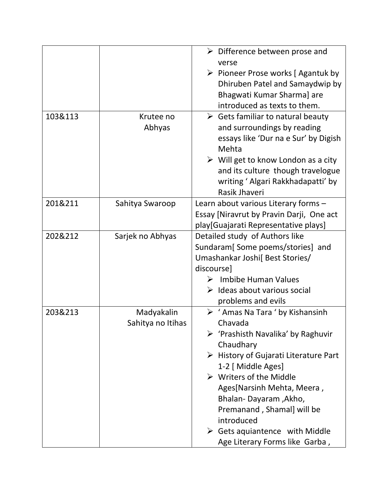|                   | $\triangleright$ Difference between prose and<br>verse |
|-------------------|--------------------------------------------------------|
|                   | $\triangleright$ Pioneer Prose works [Agantuk by       |
|                   | Dhiruben Patel and Samaydwip by                        |
|                   |                                                        |
|                   | Bhagwati Kumar Sharma] are                             |
|                   | introduced as texts to them.                           |
|                   | $\triangleright$ Gets familiar to natural beauty       |
|                   | and surroundings by reading                            |
|                   | essays like 'Dur na e Sur' by Digish<br>Mehta          |
|                   | $\triangleright$ Will get to know London as a city     |
|                   | and its culture though travelogue                      |
|                   | writing ' Algari Rakkhadapatti' by                     |
|                   | Rasik Jhaveri                                          |
| Sahitya Swaroop   | Learn about various Literary forms -                   |
|                   | Essay [Niravrut by Pravin Darji, One act               |
|                   | play[Guajarati Representative plays]                   |
| Sarjek no Abhyas  | Detailed study of Authors like                         |
|                   | Sundaram[Some poems/stories] and                       |
|                   | Umashankar Joshi[ Best Stories/                        |
|                   | discourse]                                             |
|                   | Imbibe Human Values                                    |
|                   | $\triangleright$ Ideas about various social            |
|                   | problems and evils                                     |
| Madyakalin        | $\triangleright$ ' Amas Na Tara ' by Kishansinh        |
| Sahitya no Itihas | Chavada                                                |
|                   | $\triangleright$ 'Prashisth Navalika' by Raghuvir      |
|                   | Chaudhary                                              |
|                   | $\triangleright$ History of Gujarati Literature Part   |
|                   | 1-2 [ Middle Ages]                                     |
|                   | $\triangleright$ Writers of the Middle                 |
|                   | Ages[Narsinh Mehta, Meera,                             |
|                   | Bhalan-Dayaram, Akho,                                  |
|                   | Premanand, Shamal] will be                             |
|                   | introduced                                             |
|                   | $\triangleright$ Gets aquiantence with Middle          |
|                   |                                                        |
|                   | Krutee no<br>Abhyas                                    |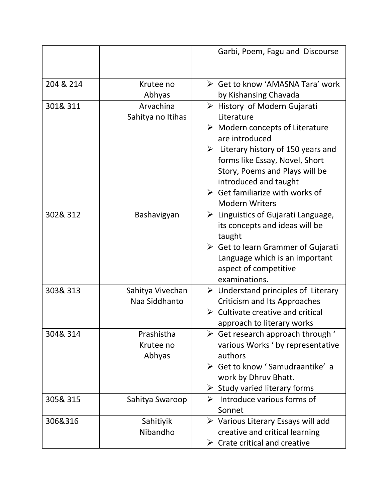|           |                   | Garbi, Poem, Fagu and Discourse                    |
|-----------|-------------------|----------------------------------------------------|
|           |                   |                                                    |
| 204 & 214 | Krutee no         | ► Get to know 'AMASNA Tara' work                   |
|           | Abhyas            | by Kishansing Chavada                              |
| 301& 311  | Arvachina         | $\triangleright$ History of Modern Gujarati        |
|           | Sahitya no Itihas | Literature                                         |
|           |                   | $\triangleright$ Modern concepts of Literature     |
|           |                   | are introduced                                     |
|           |                   | $\triangleright$ Literary history of 150 years and |
|           |                   | forms like Essay, Novel, Short                     |
|           |                   | Story, Poems and Plays will be                     |
|           |                   | introduced and taught                              |
|           |                   | $\triangleright$ Get familiarize with works of     |
|           |                   | <b>Modern Writers</b>                              |
| 302& 312  | Bashavigyan       | $\triangleright$ Linguistics of Gujarati Language, |
|           |                   | its concepts and ideas will be                     |
|           |                   | taught                                             |
|           |                   | $\triangleright$ Get to learn Grammer of Gujarati  |
|           |                   | Language which is an important                     |
|           |                   | aspect of competitive                              |
|           |                   | examinations.                                      |
| 303& 313  | Sahitya Vivechan  | $\triangleright$ Understand principles of Literary |
|           | Naa Siddhanto     | <b>Criticism and Its Approaches</b>                |
|           |                   | $\triangleright$ Cultivate creative and critical   |
|           |                   | approach to literary works                         |
| 304& 314  | Prashistha        | $\triangleright$ Get research approach through '   |
|           | Krutee no         | various Works ' by representative                  |
|           | Abhyas            | authors                                            |
|           |                   | $\triangleright$ Get to know 'Samudraantike' a     |
|           |                   | work by Dhruv Bhatt.                               |
|           |                   | $\triangleright$ Study varied literary forms       |
| 305& 315  | Sahitya Swaroop   | $\triangleright$ Introduce various forms of        |
|           |                   | Sonnet                                             |
| 306&316   | Sahitiyik         | $\triangleright$ Various Literary Essays will add  |
|           | Nibandho          | creative and critical learning                     |
|           |                   | $\triangleright$ Crate critical and creative       |